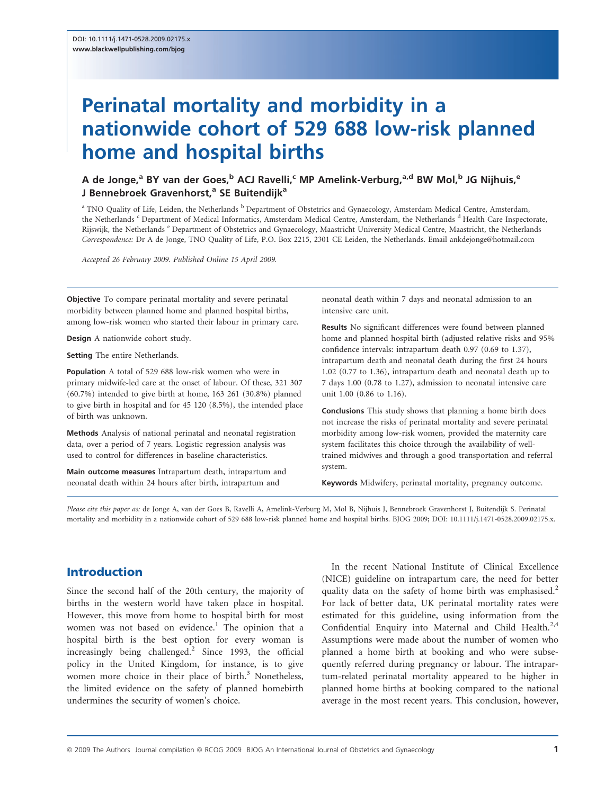# Perinatal mortality and morbidity in a nationwide cohort of 529 688 low-risk planned home and hospital births

# A de Jonge,<sup>a</sup> BY van der Goes,<sup>b</sup> ACJ Ravelli,<sup>c</sup> MP Amelink-Verburg,<sup>a,d</sup> BW Mol,<sup>b</sup> JG Niihuis.<sup>e</sup> J Bennebroek Gravenhorst,<sup>a</sup> SE Buitendijk<sup>a</sup>

<sup>a</sup> TNO Quality of Life, Leiden, the Netherlands <sup>b</sup> Department of Obstetrics and Gynaecology, Amsterdam Medical Centre, Amsterdam, the Netherlands <sup>c</sup> Department of Medical Informatics, Amsterdam Medical Centre, Amsterdam, the Netherlands <sup>d</sup> Health Care Inspectorate, Rijswijk, the Netherlands <sup>e</sup> Department of Obstetrics and Gynaecology, Maastricht University Medical Centre, Maastricht, the Netherlands Correspondence: Dr A de Jonge, TNO Quality of Life, P.O. Box 2215, 2301 CE Leiden, the Netherlands. Email ankdejonge@hotmail.com

Accepted 26 February 2009. Published Online 15 April 2009.

Objective To compare perinatal mortality and severe perinatal morbidity between planned home and planned hospital births, among low-risk women who started their labour in primary care.

Design A nationwide cohort study.

Setting The entire Netherlands.

Population A total of 529 688 low-risk women who were in primary midwife-led care at the onset of labour. Of these, 321 307 (60.7%) intended to give birth at home, 163 261 (30.8%) planned to give birth in hospital and for 45 120 (8.5%), the intended place of birth was unknown.

Methods Analysis of national perinatal and neonatal registration data, over a period of 7 years. Logistic regression analysis was used to control for differences in baseline characteristics.

Main outcome measures Intrapartum death, intrapartum and neonatal death within 24 hours after birth, intrapartum and

neonatal death within 7 days and neonatal admission to an intensive care unit.

Results No significant differences were found between planned home and planned hospital birth (adjusted relative risks and 95% confidence intervals: intrapartum death 0.97 (0.69 to 1.37), intrapartum death and neonatal death during the first 24 hours 1.02 (0.77 to 1.36), intrapartum death and neonatal death up to 7 days 1.00 (0.78 to 1.27), admission to neonatal intensive care unit 1.00 (0.86 to 1.16).

Conclusions This study shows that planning a home birth does not increase the risks of perinatal mortality and severe perinatal morbidity among low-risk women, provided the maternity care system facilitates this choice through the availability of welltrained midwives and through a good transportation and referral system.

Keywords Midwifery, perinatal mortality, pregnancy outcome.

Please cite this paper as: de Jonge A, van der Goes B, Ravelli A, Amelink-Verburg M, Mol B, Nijhuis J, Bennebroek Gravenhorst J, Buitendijk S. Perinatal mortality and morbidity in a nationwide cohort of 529 688 low-risk planned home and hospital births. BJOG 2009; DOI: 10.1111/j.1471-0528.2009.02175.x.

## Introduction

Since the second half of the 20th century, the majority of births in the western world have taken place in hospital. However, this move from home to hospital birth for most women was not based on evidence.<sup>1</sup> The opinion that a hospital birth is the best option for every woman is increasingly being challenged.<sup>2</sup> Since 1993, the official policy in the United Kingdom, for instance, is to give women more choice in their place of birth.<sup>3</sup> Nonetheless, the limited evidence on the safety of planned homebirth undermines the security of women's choice.

In the recent National Institute of Clinical Excellence (NICE) guideline on intrapartum care, the need for better quality data on the safety of home birth was emphasised.<sup>2</sup> For lack of better data, UK perinatal mortality rates were estimated for this guideline, using information from the Confidential Enquiry into Maternal and Child Health.<sup>2,4</sup> Assumptions were made about the number of women who planned a home birth at booking and who were subsequently referred during pregnancy or labour. The intrapartum-related perinatal mortality appeared to be higher in planned home births at booking compared to the national average in the most recent years. This conclusion, however,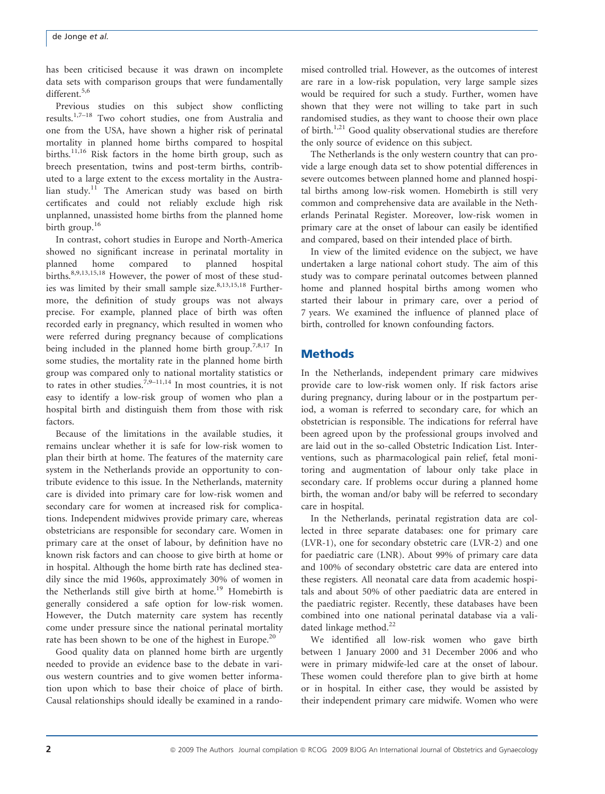has been criticised because it was drawn on incomplete data sets with comparison groups that were fundamentally different.<sup>5,6</sup>

Previous studies on this subject show conflicting results.<sup>1,7-18</sup> Two cohort studies, one from Australia and one from the USA, have shown a higher risk of perinatal mortality in planned home births compared to hospital births.<sup>11,16</sup> Risk factors in the home birth group, such as breech presentation, twins and post-term births, contributed to a large extent to the excess mortality in the Australian study.<sup>11</sup> The American study was based on birth certificates and could not reliably exclude high risk unplanned, unassisted home births from the planned home birth group.<sup>16</sup>

In contrast, cohort studies in Europe and North-America showed no significant increase in perinatal mortality in planned home compared to planned hospital births.<sup>8,9,13,15,18</sup> However, the power of most of these studies was limited by their small sample size. $8,13,15,18$  Furthermore, the definition of study groups was not always precise. For example, planned place of birth was often recorded early in pregnancy, which resulted in women who were referred during pregnancy because of complications being included in the planned home birth group.<sup>7,8,17</sup> In some studies, the mortality rate in the planned home birth group was compared only to national mortality statistics or to rates in other studies.<sup>7,9–11,14</sup> In most countries, it is not easy to identify a low-risk group of women who plan a hospital birth and distinguish them from those with risk factors.

Because of the limitations in the available studies, it remains unclear whether it is safe for low-risk women to plan their birth at home. The features of the maternity care system in the Netherlands provide an opportunity to contribute evidence to this issue. In the Netherlands, maternity care is divided into primary care for low-risk women and secondary care for women at increased risk for complications. Independent midwives provide primary care, whereas obstetricians are responsible for secondary care. Women in primary care at the onset of labour, by definition have no known risk factors and can choose to give birth at home or in hospital. Although the home birth rate has declined steadily since the mid 1960s, approximately 30% of women in the Netherlands still give birth at home.<sup>19</sup> Homebirth is generally considered a safe option for low-risk women. However, the Dutch maternity care system has recently come under pressure since the national perinatal mortality rate has been shown to be one of the highest in Europe.<sup>20</sup>

Good quality data on planned home birth are urgently needed to provide an evidence base to the debate in various western countries and to give women better information upon which to base their choice of place of birth. Causal relationships should ideally be examined in a rando-

mised controlled trial. However, as the outcomes of interest are rare in a low-risk population, very large sample sizes would be required for such a study. Further, women have shown that they were not willing to take part in such randomised studies, as they want to choose their own place of birth.<sup>1,21</sup> Good quality observational studies are therefore the only source of evidence on this subject.

The Netherlands is the only western country that can provide a large enough data set to show potential differences in severe outcomes between planned home and planned hospital births among low-risk women. Homebirth is still very common and comprehensive data are available in the Netherlands Perinatal Register. Moreover, low-risk women in primary care at the onset of labour can easily be identified and compared, based on their intended place of birth.

In view of the limited evidence on the subject, we have undertaken a large national cohort study. The aim of this study was to compare perinatal outcomes between planned home and planned hospital births among women who started their labour in primary care, over a period of 7 years. We examined the influence of planned place of birth, controlled for known confounding factors.

# **Methods**

In the Netherlands, independent primary care midwives provide care to low-risk women only. If risk factors arise during pregnancy, during labour or in the postpartum period, a woman is referred to secondary care, for which an obstetrician is responsible. The indications for referral have been agreed upon by the professional groups involved and are laid out in the so-called Obstetric Indication List. Interventions, such as pharmacological pain relief, fetal monitoring and augmentation of labour only take place in secondary care. If problems occur during a planned home birth, the woman and/or baby will be referred to secondary care in hospital.

In the Netherlands, perinatal registration data are collected in three separate databases: one for primary care (LVR-1), one for secondary obstetric care (LVR-2) and one for paediatric care (LNR). About 99% of primary care data and 100% of secondary obstetric care data are entered into these registers. All neonatal care data from academic hospitals and about 50% of other paediatric data are entered in the paediatric register. Recently, these databases have been combined into one national perinatal database via a validated linkage method.<sup>22</sup>

We identified all low-risk women who gave birth between 1 January 2000 and 31 December 2006 and who were in primary midwife-led care at the onset of labour. These women could therefore plan to give birth at home or in hospital. In either case, they would be assisted by their independent primary care midwife. Women who were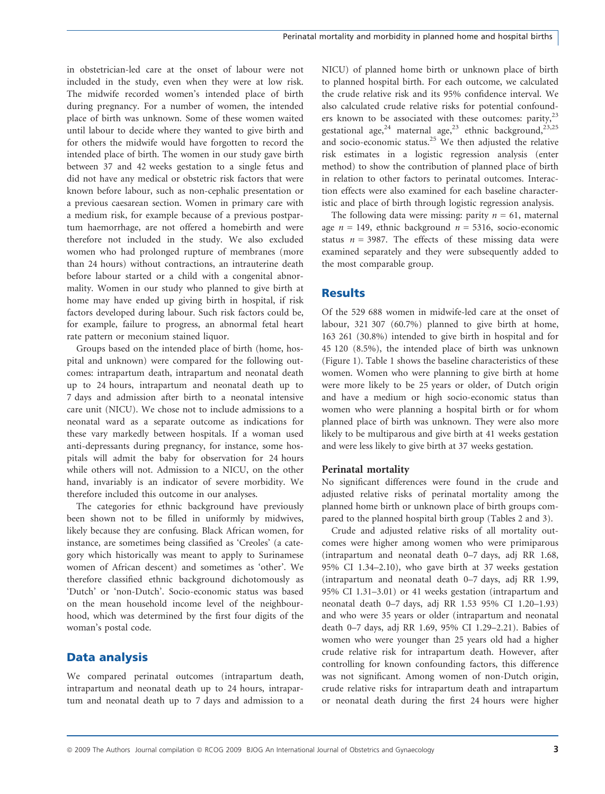in obstetrician-led care at the onset of labour were not included in the study, even when they were at low risk. The midwife recorded women's intended place of birth during pregnancy. For a number of women, the intended place of birth was unknown. Some of these women waited until labour to decide where they wanted to give birth and for others the midwife would have forgotten to record the intended place of birth. The women in our study gave birth between 37 and 42 weeks gestation to a single fetus and did not have any medical or obstetric risk factors that were known before labour, such as non-cephalic presentation or a previous caesarean section. Women in primary care with a medium risk, for example because of a previous postpartum haemorrhage, are not offered a homebirth and were therefore not included in the study. We also excluded women who had prolonged rupture of membranes (more than 24 hours) without contractions, an intrauterine death before labour started or a child with a congenital abnormality. Women in our study who planned to give birth at home may have ended up giving birth in hospital, if risk factors developed during labour. Such risk factors could be, for example, failure to progress, an abnormal fetal heart rate pattern or meconium stained liquor.

Groups based on the intended place of birth (home, hospital and unknown) were compared for the following outcomes: intrapartum death, intrapartum and neonatal death up to 24 hours, intrapartum and neonatal death up to 7 days and admission after birth to a neonatal intensive care unit (NICU). We chose not to include admissions to a neonatal ward as a separate outcome as indications for these vary markedly between hospitals. If a woman used anti-depressants during pregnancy, for instance, some hospitals will admit the baby for observation for 24 hours while others will not. Admission to a NICU, on the other hand, invariably is an indicator of severe morbidity. We therefore included this outcome in our analyses.

The categories for ethnic background have previously been shown not to be filled in uniformly by midwives, likely because they are confusing. Black African women, for instance, are sometimes being classified as 'Creoles' (a category which historically was meant to apply to Surinamese women of African descent) and sometimes as 'other'. We therefore classified ethnic background dichotomously as 'Dutch' or 'non-Dutch'. Socio-economic status was based on the mean household income level of the neighbourhood, which was determined by the first four digits of the woman's postal code.

# Data analysis

We compared perinatal outcomes (intrapartum death, intrapartum and neonatal death up to 24 hours, intrapartum and neonatal death up to 7 days and admission to a NICU) of planned home birth or unknown place of birth to planned hospital birth. For each outcome, we calculated the crude relative risk and its 95% confidence interval. We also calculated crude relative risks for potential confounders known to be associated with these outcomes: parity, $^{23}$ gestational age,<sup>24</sup> maternal age,<sup>23</sup> ethnic background,<sup>23,25</sup> and socio-economic status.<sup>25</sup> We then adjusted the relative risk estimates in a logistic regression analysis (enter method) to show the contribution of planned place of birth in relation to other factors to perinatal outcomes. Interaction effects were also examined for each baseline characteristic and place of birth through logistic regression analysis.

The following data were missing: parity  $n = 61$ , maternal age  $n = 149$ , ethnic background  $n = 5316$ , socio-economic status  $n = 3987$ . The effects of these missing data were examined separately and they were subsequently added to the most comparable group.

# **Results**

Of the 529 688 women in midwife-led care at the onset of labour, 321 307 (60.7%) planned to give birth at home, 163 261 (30.8%) intended to give birth in hospital and for 45 120 (8.5%), the intended place of birth was unknown (Figure 1). Table 1 shows the baseline characteristics of these women. Women who were planning to give birth at home were more likely to be 25 years or older, of Dutch origin and have a medium or high socio-economic status than women who were planning a hospital birth or for whom planned place of birth was unknown. They were also more likely to be multiparous and give birth at 41 weeks gestation and were less likely to give birth at 37 weeks gestation.

## Perinatal mortality

No significant differences were found in the crude and adjusted relative risks of perinatal mortality among the planned home birth or unknown place of birth groups compared to the planned hospital birth group (Tables 2 and 3).

Crude and adjusted relative risks of all mortality outcomes were higher among women who were primiparous (intrapartum and neonatal death 0–7 days, adj RR 1.68, 95% CI 1.34–2.10), who gave birth at 37 weeks gestation (intrapartum and neonatal death 0–7 days, adj RR 1.99, 95% CI 1.31–3.01) or 41 weeks gestation (intrapartum and neonatal death 0–7 days, adj RR 1.53 95% CI 1.20–1.93) and who were 35 years or older (intrapartum and neonatal death 0–7 days, adj RR 1.69, 95% CI 1.29–2.21). Babies of women who were younger than 25 years old had a higher crude relative risk for intrapartum death. However, after controlling for known confounding factors, this difference was not significant. Among women of non-Dutch origin, crude relative risks for intrapartum death and intrapartum or neonatal death during the first 24 hours were higher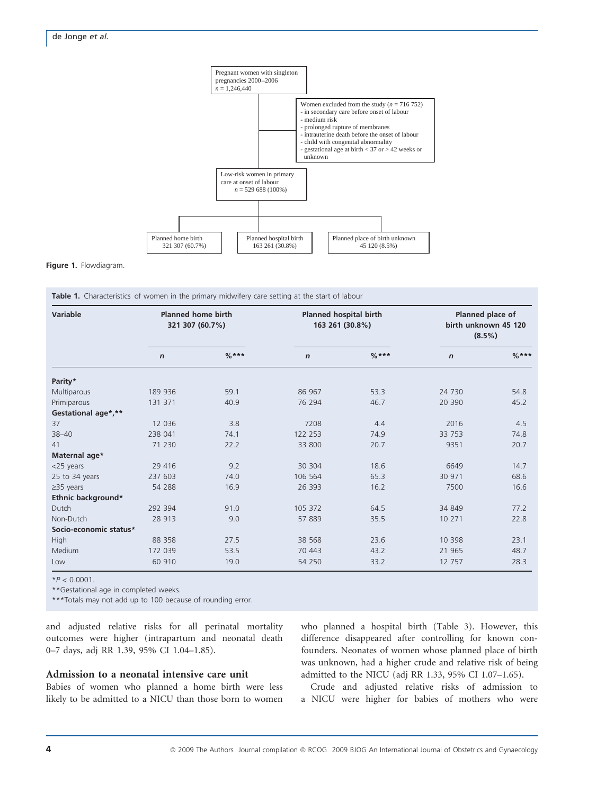

#### Figure 1. Flowdiagram.

Table 1. Characteristics of women in the primary midwifery care setting at the start of labour

| Variable               | <b>Planned home birth</b><br>321 307 (60.7%) |           | <b>Planned hospital birth</b><br>163 261 (30.8%) |           | Planned place of<br>birth unknown 45 120<br>$(8.5\%)$ |           |
|------------------------|----------------------------------------------|-----------|--------------------------------------------------|-----------|-------------------------------------------------------|-----------|
|                        | $\boldsymbol{n}$                             | $0/2$ *** | $\mathbf n$                                      | $0/n$ *** | $\mathbf n$                                           | $0/n$ *** |
| Parity*                |                                              |           |                                                  |           |                                                       |           |
| Multiparous            | 189 936                                      | 59.1      | 86 967                                           | 53.3      | 24 730                                                | 54.8      |
| Primiparous            | 131 371                                      | 40.9      | 76 294                                           | 46.7      | 20 390                                                | 45.2      |
| Gestational age*,**    |                                              |           |                                                  |           |                                                       |           |
| 37                     | 12 0 36                                      | 3.8       | 7208                                             | 4.4       | 2016                                                  | 4.5       |
| $38 - 40$              | 238 041                                      | 74.1      | 122 253                                          | 74.9      | 33 753                                                | 74.8      |
| 41                     | 71 230                                       | 22.2      | 33 800                                           | 20.7      | 9351                                                  | 20.7      |
| Maternal age*          |                                              |           |                                                  |           |                                                       |           |
| <25 years              | 29 4 16                                      | 9.2       | 30 304                                           | 18.6      | 6649                                                  | 14.7      |
| 25 to 34 years         | 237 603                                      | 74.0      | 106 564                                          | 65.3      | 30 971                                                | 68.6      |
| $\geq$ 35 years        | 54 288                                       | 16.9      | 26 393                                           | 16.2      | 7500                                                  | 16.6      |
| Ethnic background*     |                                              |           |                                                  |           |                                                       |           |
| Dutch                  | 292 394                                      | 91.0      | 105 372                                          | 64.5      | 34 849                                                | 77.2      |
| Non-Dutch              | 28 913                                       | 9.0       | 57 889                                           | 35.5      | 10 271                                                | 22.8      |
| Socio-economic status* |                                              |           |                                                  |           |                                                       |           |
| High                   | 88 358                                       | 27.5      | 38 5 68                                          | 23.6      | 10 398                                                | 23.1      |
| Medium                 | 172 039                                      | 53.5      | 70 443                                           | 43.2      | 21 965                                                | 48.7      |
| Low                    | 60 910                                       | 19.0      | 54 250                                           | 33.2      | 12 757                                                | 28.3      |

 $*P < 0.0001$ .

\*\*Gestational age in completed weeks.

\*\*\*Totals may not add up to 100 because of rounding error.

and adjusted relative risks for all perinatal mortality outcomes were higher (intrapartum and neonatal death 0–7 days, adj RR 1.39, 95% CI 1.04–1.85).

#### Admission to a neonatal intensive care unit

Babies of women who planned a home birth were less likely to be admitted to a NICU than those born to women who planned a hospital birth (Table 3). However, this difference disappeared after controlling for known confounders. Neonates of women whose planned place of birth was unknown, had a higher crude and relative risk of being admitted to the NICU (adj RR 1.33, 95% CI 1.07–1.65).

Crude and adjusted relative risks of admission to a NICU were higher for babies of mothers who were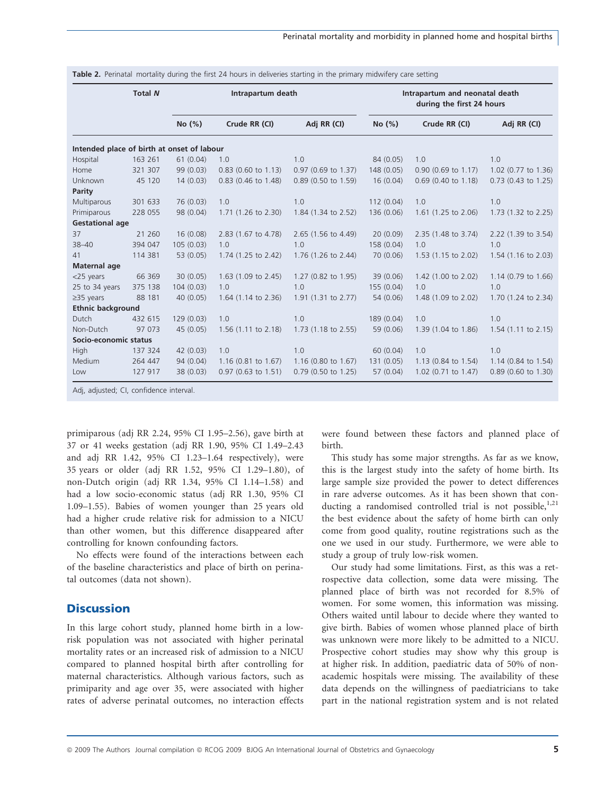|                                            | <b>Total N</b> | Intrapartum death |                                |                               | Intrapartum and neonatal death<br>during the first 24 hours |                     |                                |
|--------------------------------------------|----------------|-------------------|--------------------------------|-------------------------------|-------------------------------------------------------------|---------------------|--------------------------------|
|                                            |                | No(%)             | Crude RR (CI)                  | Adj RR (CI)                   | No(%)                                                       | Crude RR (CI)       | Adj RR (CI)                    |
| Intended place of birth at onset of labour |                |                   |                                |                               |                                                             |                     |                                |
| Hospital                                   | 163 261        | 61(0.04)          | 1.0                            | 1.0                           | 84 (0.05)                                                   | 1.0                 | 1.0                            |
| Home                                       | 321 307        | 99 (0.03)         | $0.83$ (0.60 to 1.13)          | $0.97$ (0.69 to 1.37)         | 148 (0.05)                                                  | 0.90 (0.69 to 1.17) | 1.02 (0.77 to 1.36)            |
| Unknown                                    | 45 120         | 14(0.03)          | 0.83 (0.46 to 1.48)            | $0.89$ (0.50 to 1.59)         | 16(0.04)                                                    | 0.69 (0.40 to 1.18) | $0.73$ (0.43 to 1.25)          |
| Parity                                     |                |                   |                                |                               |                                                             |                     |                                |
| Multiparous                                | 301 633        | 76 (0.03)         | 1.0                            | 1.0                           | 112(0.04)                                                   | 1.0                 | 1.0                            |
| Primiparous                                | 228 055        | 98 (0.04)         | 1.71 (1.26 to 2.30)            | 1.84 (1.34 to 2.52)           | 136 (0.06)                                                  | 1.61 (1.25 to 2.06) | 1.73 (1.32 to 2.25)            |
| <b>Gestational age</b>                     |                |                   |                                |                               |                                                             |                     |                                |
| 37                                         | 21 260         | 16(0.08)          | 2.83 (1.67 to 4.78)            | 2.65 (1.56 to 4.49)           | 20(0.09)                                                    | 2.35 (1.48 to 3.74) | 2.22 (1.39 to 3.54)            |
| $38 - 40$                                  | 394 047        | 105(0.03)         | 1.0                            | 1.0                           | 158 (0.04)                                                  | 1.0                 | 1.0                            |
| 41                                         | 114 381        | 53 (0.05)         | 1.74 (1.25 to 2.42)            | 1.76 (1.26 to 2.44)           | 70 (0.06)                                                   | 1.53 (1.15 to 2.02) | 1.54 (1.16 to 2.03)            |
| Maternal age                               |                |                   |                                |                               |                                                             |                     |                                |
| $<$ 25 years                               | 66 369         | 30(0.05)          | 1.63 $(1.09 \text{ to } 2.45)$ | 1.27 (0.82 to 1.95)           | 39 (0.06)                                                   | 1.42 (1.00 to 2.02) | 1.14 $(0.79 \text{ to } 1.66)$ |
| 25 to 34 years                             | 375 138        | 104(0.03)         | 1.0                            | 1.0                           | 155 (0.04)                                                  | 1.0                 | 1.0                            |
| $\geq$ 35 years                            | 88 181         | 40 (0.05)         | 1.64 (1.14 to 2.36)            | 1.91 (1.31 to 2.77)           | 54 (0.06)                                                   | 1.48 (1.09 to 2.02) | 1.70 (1.24 to 2.34)            |
| <b>Ethnic background</b>                   |                |                   |                                |                               |                                                             |                     |                                |
| Dutch                                      | 432 615        | 129(0.03)         | 1.0                            | 1.0                           | 189 (0.04)                                                  | 1.0                 | 1.0                            |
| Non-Dutch                                  | 97 073         | 45 (0.05)         | 1.56 (1.11 to 2.18)            | $1.73(1.18 \text{ to } 2.55)$ | 59 (0.06)                                                   | 1.39 (1.04 to 1.86) | $1.54$ (1.11 to 2.15)          |
| Socio-economic status                      |                |                   |                                |                               |                                                             |                     |                                |
| High                                       | 137 324        | 42 (0.03)         | 1.0                            | 1.0                           | 60(0.04)                                                    | 1.0                 | 1.0                            |
| Medium                                     | 264 447        | 94 (0.04)         | $1.16$ (0.81 to 1.67)          | $1.16$ (0.80 to 1.67)         | 131 (0.05)                                                  | 1.13 (0.84 to 1.54) | $1.14$ (0.84 to 1.54)          |
| Low                                        | 127 917        | 38 (0.03)         | 0.97 (0.63 to 1.51)            | $0.79$ (0.50 to 1.25)         | 57 (0.04)                                                   | 1.02 (0.71 to 1.47) | 0.89 (0.60 to 1.30)            |

Table 2. Perinatal mortality during the first 24 hours in deliveries starting in the primary midwifery care setting

Adj, adjusted; CI, confidence interval.

primiparous (adj RR 2.24, 95% CI 1.95–2.56), gave birth at 37 or 41 weeks gestation (adj RR 1.90, 95% CI 1.49–2.43 and adj RR 1.42, 95% CI 1.23–1.64 respectively), were 35 years or older (adj RR 1.52, 95% CI 1.29–1.80), of non-Dutch origin (adj RR 1.34, 95% CI 1.14–1.58) and had a low socio-economic status (adj RR 1.30, 95% CI 1.09–1.55). Babies of women younger than 25 years old had a higher crude relative risk for admission to a NICU than other women, but this difference disappeared after controlling for known confounding factors.

No effects were found of the interactions between each of the baseline characteristics and place of birth on perinatal outcomes (data not shown).

## **Discussion**

In this large cohort study, planned home birth in a lowrisk population was not associated with higher perinatal mortality rates or an increased risk of admission to a NICU compared to planned hospital birth after controlling for maternal characteristics. Although various factors, such as primiparity and age over 35, were associated with higher rates of adverse perinatal outcomes, no interaction effects

were found between these factors and planned place of birth.

This study has some major strengths. As far as we know, this is the largest study into the safety of home birth. Its large sample size provided the power to detect differences in rare adverse outcomes. As it has been shown that conducting a randomised controlled trial is not possible,  $1,21$ the best evidence about the safety of home birth can only come from good quality, routine registrations such as the one we used in our study. Furthermore, we were able to study a group of truly low-risk women.

Our study had some limitations. First, as this was a retrospective data collection, some data were missing. The planned place of birth was not recorded for 8.5% of women. For some women, this information was missing. Others waited until labour to decide where they wanted to give birth. Babies of women whose planned place of birth was unknown were more likely to be admitted to a NICU. Prospective cohort studies may show why this group is at higher risk. In addition, paediatric data of 50% of nonacademic hospitals were missing. The availability of these data depends on the willingness of paediatricians to take part in the national registration system and is not related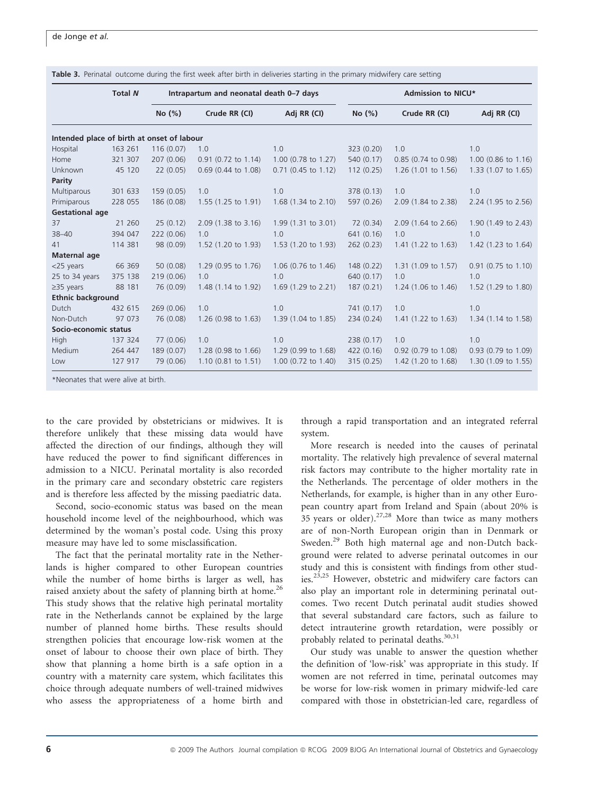|                                            | <b>Total N</b> | Intrapartum and neonatal death 0-7 days |                          | Admission to NICU*    |            |                     |                          |
|--------------------------------------------|----------------|-----------------------------------------|--------------------------|-----------------------|------------|---------------------|--------------------------|
|                                            |                | No(%)                                   | Crude RR (CI)            | Adj RR (CI)           | No(%)      | Crude RR (CI)       | Adj RR (CI)              |
| Intended place of birth at onset of labour |                |                                         |                          |                       |            |                     |                          |
| Hospital                                   | 163 261        | 116(0.07)                               | 1.0                      | 1.0                   | 323 (0.20) | 1.0                 | 1.0                      |
| Home                                       | 321 307        | 207 (0.06)                              | 0.91 (0.72 to 1.14)      | $1.00$ (0.78 to 1.27) | 540 (0.17) | 0.85 (0.74 to 0.98) | $1.00$ (0.86 to $1.16$ ) |
| Unknown                                    | 45 120         | 22(0.05)                                | $0.69$ (0.44 to 1.08)    | $0.71$ (0.45 to 1.12) | 112(0.25)  | 1.26 (1.01 to 1.56) | 1.33 (1.07 to 1.65)      |
| Parity                                     |                |                                         |                          |                       |            |                     |                          |
| Multiparous                                | 301 633        | 159(0.05)                               | 1.0                      | 1.0                   | 378 (0.13) | 1.0                 | 1.0                      |
| Primiparous                                | 228 055        | 186 (0.08)                              | 1.55 (1.25 to 1.91)      | 1.68 (1.34 to 2.10)   | 597 (0.26) | 2.09 (1.84 to 2.38) | 2.24 (1.95 to 2.56)      |
| <b>Gestational age</b>                     |                |                                         |                          |                       |            |                     |                          |
| 37                                         | 21 260         | 25(0.12)                                | 2.09 (1.38 to 3.16)      | 1.99 (1.31 to 3.01)   | 72 (0.34)  | 2.09 (1.64 to 2.66) | 1.90 (1.49 to 2.43)      |
| $38 - 40$                                  | 394 047        | 222 (0.06)                              | 1.0                      | 1.0                   | 641 (0.16) | 1.0                 | 1.0                      |
| 41                                         | 114 381        | 98 (0.09)                               | 1.52 (1.20 to 1.93)      | 1.53 (1.20 to 1.93)   | 262(0.23)  | 1.41 (1.22 to 1.63) | 1.42 (1.23 to 1.64)      |
| Maternal age                               |                |                                         |                          |                       |            |                     |                          |
| $<$ 25 years                               | 66 369         | 50(0.08)                                | 1.29 (0.95 to 1.76)      | 1.06 (0.76 to 1.46)   | 148(0.22)  | 1.31 (1.09 to 1.57) | 0.91 (0.75 to 1.10)      |
| 25 to 34 years                             | 375 138        | 219 (0.06)                              | 1.0                      | 1.0                   | 640 (0.17) | 1.0                 | 1.0                      |
| $\geq$ 35 years                            | 88 181         | 76 (0.09)                               | 1.48 (1.14 to 1.92)      | 1.69 (1.29 to 2.21)   | 187(0.21)  | 1.24 (1.06 to 1.46) | 1.52 (1.29 to 1.80)      |
| <b>Ethnic background</b>                   |                |                                         |                          |                       |            |                     |                          |
| Dutch                                      | 432 615        | 269 (0.06)                              | 1.0                      | 1.0                   | 741 (0.17) | 1.0                 | 1.0                      |
| Non-Dutch                                  | 97 073         | 76 (0.08)                               | $1.26$ (0.98 to $1.63$ ) | 1.39 (1.04 to 1.85)   | 234 (0.24) | 1.41 (1.22 to 1.63) | 1.34 (1.14 to 1.58)      |
| Socio-economic status                      |                |                                         |                          |                       |            |                     |                          |
| High                                       | 137 324        | 77 (0.06)                               | 1.0                      | 1.0                   | 238(0.17)  | 1.0                 | 1.0                      |
| Medium                                     | 264 447        | 189 (0.07)                              | 1.28 (0.98 to 1.66)      | 1.29 (0.99 to 1.68)   | 422(0.16)  | 0.92 (0.79 to 1.08) | 0.93 (0.79 to 1.09)      |
| Low                                        | 127 917        | 79 (0.06)                               | $1.10$ (0.81 to 1.51)    | 1.00 (0.72 to 1.40)   | 315(0.25)  | 1.42 (1.20 to 1.68) | 1.30 (1.09 to 1.55)      |

Table 3. Perinatal outcome during the first week after birth in deliveries starting in the primary midwifery care setting

Neonates that were alive at birth.

to the care provided by obstetricians or midwives. It is therefore unlikely that these missing data would have affected the direction of our findings, although they will have reduced the power to find significant differences in admission to a NICU. Perinatal mortality is also recorded in the primary care and secondary obstetric care registers and is therefore less affected by the missing paediatric data.

Second, socio-economic status was based on the mean household income level of the neighbourhood, which was determined by the woman's postal code. Using this proxy measure may have led to some misclassification.

The fact that the perinatal mortality rate in the Netherlands is higher compared to other European countries while the number of home births is larger as well, has raised anxiety about the safety of planning birth at home.<sup>26</sup> This study shows that the relative high perinatal mortality rate in the Netherlands cannot be explained by the large number of planned home births. These results should strengthen policies that encourage low-risk women at the onset of labour to choose their own place of birth. They show that planning a home birth is a safe option in a country with a maternity care system, which facilitates this choice through adequate numbers of well-trained midwives who assess the appropriateness of a home birth and

through a rapid transportation and an integrated referral system.

More research is needed into the causes of perinatal mortality. The relatively high prevalence of several maternal risk factors may contribute to the higher mortality rate in the Netherlands. The percentage of older mothers in the Netherlands, for example, is higher than in any other European country apart from Ireland and Spain (about 20% is 35 years or older). $27,28$  More than twice as many mothers are of non-North European origin than in Denmark or Sweden.<sup>29</sup> Both high maternal age and non-Dutch background were related to adverse perinatal outcomes in our study and this is consistent with findings from other studies.23,25 However, obstetric and midwifery care factors can also play an important role in determining perinatal outcomes. Two recent Dutch perinatal audit studies showed that several substandard care factors, such as failure to detect intrauterine growth retardation, were possibly or probably related to perinatal deaths.<sup>30,31</sup>

Our study was unable to answer the question whether the definition of 'low-risk' was appropriate in this study. If women are not referred in time, perinatal outcomes may be worse for low-risk women in primary midwife-led care compared with those in obstetrician-led care, regardless of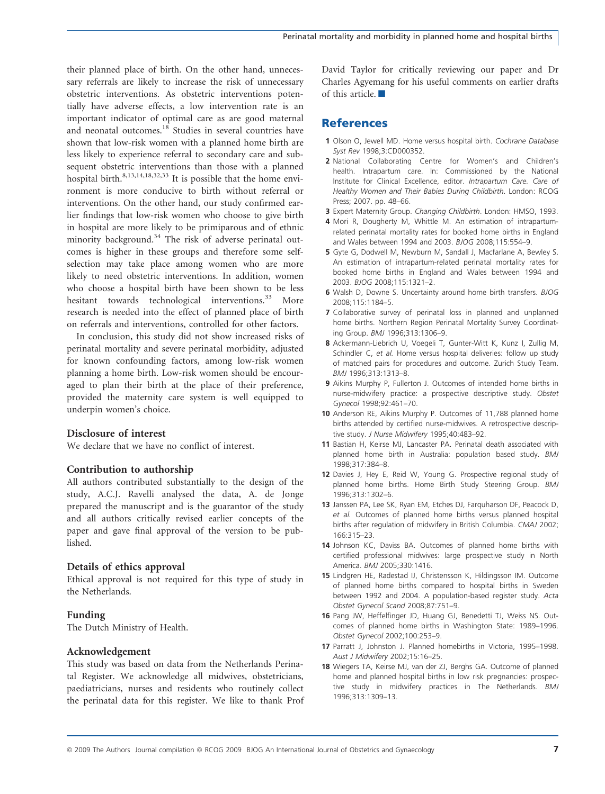their planned place of birth. On the other hand, unnecessary referrals are likely to increase the risk of unnecessary obstetric interventions. As obstetric interventions potentially have adverse effects, a low intervention rate is an important indicator of optimal care as are good maternal and neonatal outcomes.<sup>18</sup> Studies in several countries have shown that low-risk women with a planned home birth are less likely to experience referral to secondary care and subsequent obstetric interventions than those with a planned hospital birth.<sup>8,13,14,18,32,33</sup> It is possible that the home environment is more conducive to birth without referral or interventions. On the other hand, our study confirmed earlier findings that low-risk women who choose to give birth in hospital are more likely to be primiparous and of ethnic minority background.<sup>34</sup> The risk of adverse perinatal outcomes is higher in these groups and therefore some selfselection may take place among women who are more likely to need obstetric interventions. In addition, women who choose a hospital birth have been shown to be less hesitant towards technological interventions.<sup>33</sup> More research is needed into the effect of planned place of birth on referrals and interventions, controlled for other factors.

In conclusion, this study did not show increased risks of perinatal mortality and severe perinatal morbidity, adjusted for known confounding factors, among low-risk women planning a home birth. Low-risk women should be encouraged to plan their birth at the place of their preference, provided the maternity care system is well equipped to underpin women's choice.

## Disclosure of interest

We declare that we have no conflict of interest.

## Contribution to authorship

All authors contributed substantially to the design of the study, A.C.J. Ravelli analysed the data, A. de Jonge prepared the manuscript and is the guarantor of the study and all authors critically revised earlier concepts of the paper and gave final approval of the version to be published.

## Details of ethics approval

Ethical approval is not required for this type of study in the Netherlands.

## Funding

The Dutch Ministry of Health.

## Acknowledgement

This study was based on data from the Netherlands Perinatal Register. We acknowledge all midwives, obstetricians, paediatricians, nurses and residents who routinely collect the perinatal data for this register. We like to thank Prof David Taylor for critically reviewing our paper and Dr Charles Agyemang for his useful comments on earlier drafts of this article.

# **References**

- 1 Olson O, Jewell MD. Home versus hospital birth. Cochrane Database Syst Rev 1998;3:CD000352.
- 2 National Collaborating Centre for Women's and Children's health. Intrapartum care. In: Commissioned by the National Institute for Clinical Excellence, editor. Intrapartum Care. Care of Healthy Women and Their Babies During Childbirth. London: RCOG Press; 2007. pp. 48–66.
- 3 Expert Maternity Group. Changing Childbirth. London: HMSO, 1993.
- 4 Mori R, Dougherty M, Whittle M. An estimation of intrapartumrelated perinatal mortality rates for booked home births in England and Wales between 1994 and 2003. BJOG 2008;115:554–9.
- 5 Gyte G, Dodwell M, Newburn M, Sandall J, Macfarlane A, Bewley S. An estimation of intrapartum-related perinatal mortality rates for booked home births in England and Wales between 1994 and 2003. BJOG 2008;115:1321–2.
- 6 Walsh D, Downe S. Uncertainty around home birth transfers. BJOG 2008;115:1184–5.
- 7 Collaborative survey of perinatal loss in planned and unplanned home births. Northern Region Perinatal Mortality Survey Coordinating Group. BMJ 1996;313:1306–9.
- 8 Ackermann-Liebrich U, Voegeli T, Gunter-Witt K, Kunz I, Zullig M, Schindler C, et al. Home versus hospital deliveries: follow up study of matched pairs for procedures and outcome. Zurich Study Team. BMJ 1996;313:1313–8.
- 9 Aikins Murphy P, Fullerton J. Outcomes of intended home births in nurse-midwifery practice: a prospective descriptive study. Obstet Gynecol 1998;92:461–70.
- 10 Anderson RE, Aikins Murphy P. Outcomes of 11,788 planned home births attended by certified nurse-midwives. A retrospective descriptive study. J Nurse Midwifery 1995;40:483–92.
- 11 Bastian H, Keirse MJ, Lancaster PA. Perinatal death associated with planned home birth in Australia: population based study. BMJ 1998;317:384–8.
- 12 Davies J, Hey E, Reid W, Young G. Prospective regional study of planned home births. Home Birth Study Steering Group. BMJ 1996;313:1302–6.
- 13 Janssen PA, Lee SK, Ryan EM, Etches DJ, Farquharson DF, Peacock D, et al. Outcomes of planned home births versus planned hospital births after regulation of midwifery in British Columbia. CMAJ 2002; 166:315–23.
- 14 Johnson KC, Daviss BA. Outcomes of planned home births with certified professional midwives: large prospective study in North America. BMJ 2005;330:1416.
- 15 Lindgren HE, Radestad IJ, Christensson K, Hildingsson IM. Outcome of planned home births compared to hospital births in Sweden between 1992 and 2004. A population-based register study. Acta Obstet Gynecol Scand 2008;87:751–9.
- 16 Pang JW, Heffelfinger JD, Huang GJ, Benedetti TJ, Weiss NS. Outcomes of planned home births in Washington State: 1989–1996. Obstet Gynecol 2002;100:253–9.
- 17 Parratt J, Johnston J. Planned homebirths in Victoria, 1995–1998. Aust J Midwifery 2002;15:16–25.
- 18 Wiegers TA, Keirse MJ, van der ZJ, Berghs GA. Outcome of planned home and planned hospital births in low risk pregnancies: prospective study in midwifery practices in The Netherlands. BMJ 1996;313:1309–13.